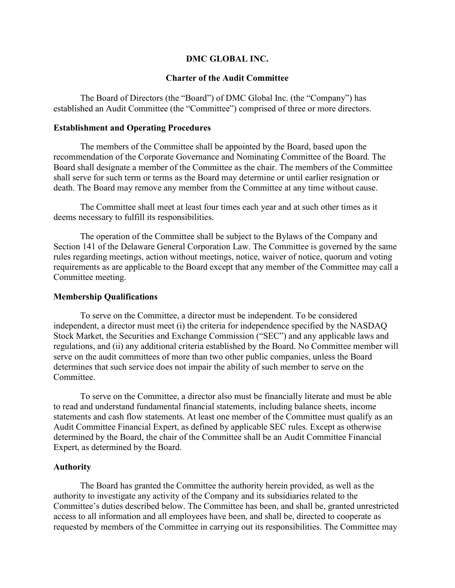### DMC GLOBAL INC.

### Charter of the Audit Committee

The Board of Directors (the "Board") of DMC Global Inc. (the "Company") has established an Audit Committee (the "Committee") comprised of three or more directors.

### Establishment and Operating Procedures

The members of the Committee shall be appointed by the Board, based upon the recommendation of the Corporate Governance and Nominating Committee of the Board. The Board shall designate a member of the Committee as the chair. The members of the Committee shall serve for such term or terms as the Board may determine or until earlier resignation or death. The Board may remove any member from the Committee at any time without cause.

The Committee shall meet at least four times each year and at such other times as it deems necessary to fulfill its responsibilities.

The operation of the Committee shall be subject to the Bylaws of the Company and Section 141 of the Delaware General Corporation Law. The Committee is governed by the same rules regarding meetings, action without meetings, notice, waiver of notice, quorum and voting requirements as are applicable to the Board except that any member of the Committee may call a Committee meeting.

#### Membership Qualifications

To serve on the Committee, a director must be independent. To be considered independent, a director must meet (i) the criteria for independence specified by the NASDAQ Stock Market, the Securities and Exchange Commission ("SEC") and any applicable laws and regulations, and (ii) any additional criteria established by the Board. No Committee member will serve on the audit committees of more than two other public companies, unless the Board determines that such service does not impair the ability of such member to serve on the Committee.

To serve on the Committee, a director also must be financially literate and must be able to read and understand fundamental financial statements, including balance sheets, income statements and cash flow statements. At least one member of the Committee must qualify as an Audit Committee Financial Expert, as defined by applicable SEC rules. Except as otherwise determined by the Board, the chair of the Committee shall be an Audit Committee Financial Expert, as determined by the Board.

## Authority

The Board has granted the Committee the authority herein provided, as well as the authority to investigate any activity of the Company and its subsidiaries related to the Committee's duties described below. The Committee has been, and shall be, granted unrestricted access to all information and all employees have been, and shall be, directed to cooperate as requested by members of the Committee in carrying out its responsibilities. The Committee may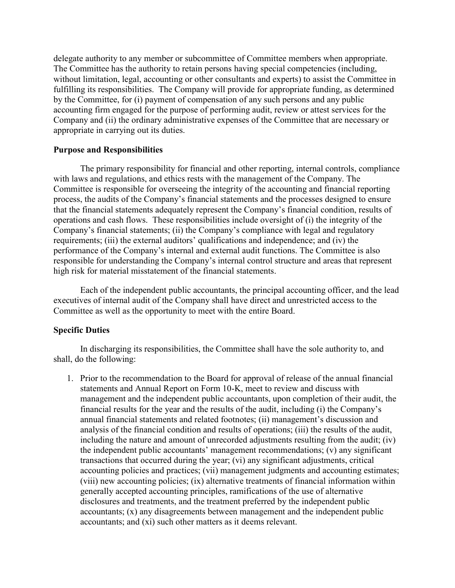delegate authority to any member or subcommittee of Committee members when appropriate. The Committee has the authority to retain persons having special competencies (including, without limitation, legal, accounting or other consultants and experts) to assist the Committee in fulfilling its responsibilities. The Company will provide for appropriate funding, as determined by the Committee, for (i) payment of compensation of any such persons and any public accounting firm engaged for the purpose of performing audit, review or attest services for the Company and (ii) the ordinary administrative expenses of the Committee that are necessary or appropriate in carrying out its duties.

### Purpose and Responsibilities

The primary responsibility for financial and other reporting, internal controls, compliance with laws and regulations, and ethics rests with the management of the Company. The Committee is responsible for overseeing the integrity of the accounting and financial reporting process, the audits of the Company's financial statements and the processes designed to ensure that the financial statements adequately represent the Company's financial condition, results of operations and cash flows. These responsibilities include oversight of (i) the integrity of the Company's financial statements; (ii) the Company's compliance with legal and regulatory requirements; (iii) the external auditors' qualifications and independence; and (iv) the performance of the Company's internal and external audit functions. The Committee is also responsible for understanding the Company's internal control structure and areas that represent high risk for material misstatement of the financial statements.

Each of the independent public accountants, the principal accounting officer, and the lead executives of internal audit of the Company shall have direct and unrestricted access to the Committee as well as the opportunity to meet with the entire Board.

# Specific Duties

In discharging its responsibilities, the Committee shall have the sole authority to, and shall, do the following:

1. Prior to the recommendation to the Board for approval of release of the annual financial statements and Annual Report on Form 10-K, meet to review and discuss with management and the independent public accountants, upon completion of their audit, the financial results for the year and the results of the audit, including (i) the Company's annual financial statements and related footnotes; (ii) management's discussion and analysis of the financial condition and results of operations; (iii) the results of the audit, including the nature and amount of unrecorded adjustments resulting from the audit; (iv) the independent public accountants' management recommendations; (v) any significant transactions that occurred during the year; (vi) any significant adjustments, critical accounting policies and practices; (vii) management judgments and accounting estimates; (viii) new accounting policies; (ix) alternative treatments of financial information within generally accepted accounting principles, ramifications of the use of alternative disclosures and treatments, and the treatment preferred by the independent public accountants; (x) any disagreements between management and the independent public accountants; and (xi) such other matters as it deems relevant.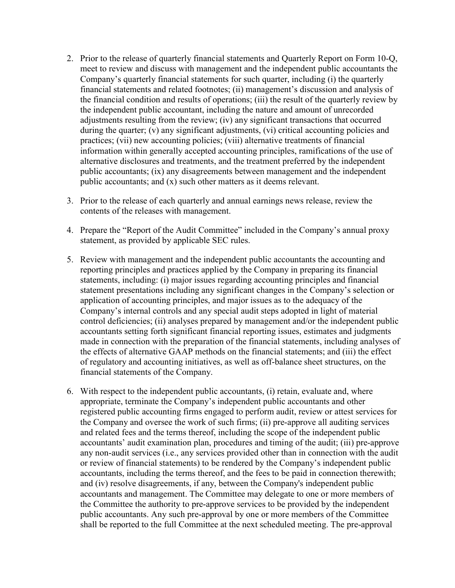- 2. Prior to the release of quarterly financial statements and Quarterly Report on Form 10-Q, meet to review and discuss with management and the independent public accountants the Company's quarterly financial statements for such quarter, including (i) the quarterly financial statements and related footnotes; (ii) management's discussion and analysis of the financial condition and results of operations; (iii) the result of the quarterly review by the independent public accountant, including the nature and amount of unrecorded adjustments resulting from the review; (iv) any significant transactions that occurred during the quarter; (v) any significant adjustments, (vi) critical accounting policies and practices; (vii) new accounting policies; (viii) alternative treatments of financial information within generally accepted accounting principles, ramifications of the use of alternative disclosures and treatments, and the treatment preferred by the independent public accountants; (ix) any disagreements between management and the independent public accountants; and (x) such other matters as it deems relevant.
- 3. Prior to the release of each quarterly and annual earnings news release, review the contents of the releases with management.
- 4. Prepare the "Report of the Audit Committee" included in the Company's annual proxy statement, as provided by applicable SEC rules.
- 5. Review with management and the independent public accountants the accounting and reporting principles and practices applied by the Company in preparing its financial statements, including: (i) major issues regarding accounting principles and financial statement presentations including any significant changes in the Company's selection or application of accounting principles, and major issues as to the adequacy of the Company's internal controls and any special audit steps adopted in light of material control deficiencies; (ii) analyses prepared by management and/or the independent public accountants setting forth significant financial reporting issues, estimates and judgments made in connection with the preparation of the financial statements, including analyses of the effects of alternative GAAP methods on the financial statements; and (iii) the effect of regulatory and accounting initiatives, as well as off-balance sheet structures, on the financial statements of the Company.
- 6. With respect to the independent public accountants, (i) retain, evaluate and, where appropriate, terminate the Company's independent public accountants and other registered public accounting firms engaged to perform audit, review or attest services for the Company and oversee the work of such firms; (ii) pre-approve all auditing services and related fees and the terms thereof, including the scope of the independent public accountants' audit examination plan, procedures and timing of the audit; (iii) pre-approve any non-audit services (i.e., any services provided other than in connection with the audit or review of financial statements) to be rendered by the Company's independent public accountants, including the terms thereof, and the fees to be paid in connection therewith; and (iv) resolve disagreements, if any, between the Company's independent public accountants and management. The Committee may delegate to one or more members of the Committee the authority to pre-approve services to be provided by the independent public accountants. Any such pre-approval by one or more members of the Committee shall be reported to the full Committee at the next scheduled meeting. The pre-approval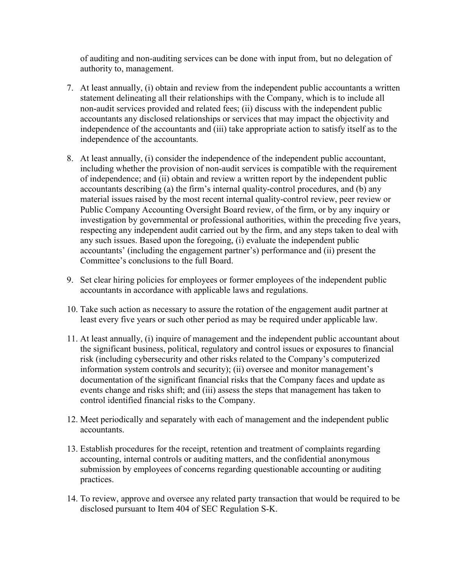of auditing and non-auditing services can be done with input from, but no delegation of authority to, management.

- 7. At least annually, (i) obtain and review from the independent public accountants a written statement delineating all their relationships with the Company, which is to include all non-audit services provided and related fees; (ii) discuss with the independent public accountants any disclosed relationships or services that may impact the objectivity and independence of the accountants and (iii) take appropriate action to satisfy itself as to the independence of the accountants.
- 8. At least annually, (i) consider the independence of the independent public accountant, including whether the provision of non-audit services is compatible with the requirement of independence; and (ii) obtain and review a written report by the independent public accountants describing (a) the firm's internal quality-control procedures, and (b) any material issues raised by the most recent internal quality-control review, peer review or Public Company Accounting Oversight Board review, of the firm, or by any inquiry or investigation by governmental or professional authorities, within the preceding five years, respecting any independent audit carried out by the firm, and any steps taken to deal with any such issues. Based upon the foregoing, (i) evaluate the independent public accountants' (including the engagement partner's) performance and (ii) present the Committee's conclusions to the full Board.
- 9. Set clear hiring policies for employees or former employees of the independent public accountants in accordance with applicable laws and regulations.
- 10. Take such action as necessary to assure the rotation of the engagement audit partner at least every five years or such other period as may be required under applicable law.
- 11. At least annually, (i) inquire of management and the independent public accountant about the significant business, political, regulatory and control issues or exposures to financial risk (including cybersecurity and other risks related to the Company's computerized information system controls and security); (ii) oversee and monitor management's documentation of the significant financial risks that the Company faces and update as events change and risks shift; and (iii) assess the steps that management has taken to control identified financial risks to the Company.
- 12. Meet periodically and separately with each of management and the independent public accountants.
- 13. Establish procedures for the receipt, retention and treatment of complaints regarding accounting, internal controls or auditing matters, and the confidential anonymous submission by employees of concerns regarding questionable accounting or auditing practices.
- 14. To review, approve and oversee any related party transaction that would be required to be disclosed pursuant to Item 404 of SEC Regulation S-K.